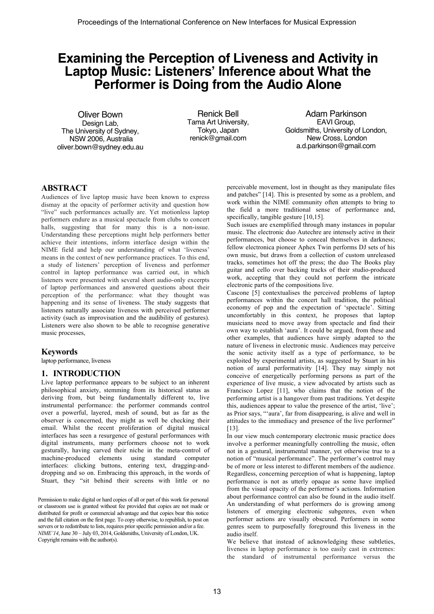# **Examining the Perception of Liveness and Activity in Laptop Music: Listeners' Inference about What the Performer is Doing from the Audio Alone**

Oliver Bown Design Lab, The University of Sydney, NSW 2006, Australia oliver.bown@sydney.edu.au

Renick Bell Tama Art University, Tokyo, Japan renick@gmail.com

Adam Parkinson EAVI Group, Goldsmiths, University of London, New Cross, London a.d.parkinson@gmail.com

#### **ABSTRACT**

Audiences of live laptop music have been known to express dismay at the opacity of performer activity and question how "live" such performances actually are. Yet motionless laptop performers endure as a musical spectacle from clubs to concert halls, suggesting that for many this is a non-issue. Understanding these perceptions might help performers better achieve their intentions, inform interface design within the NIME field and help our understanding of what 'liveness' means in the context of new performance practices. To this end, a study of listeners' perception of liveness and performer control in laptop performance was carried out, in which listeners were presented with several short audio-only excerpts of laptop performances and answered questions about their perception of the performance: what they thought was happening and its sense of liveness. The study suggests that listeners naturally associate liveness with perceived performer activity (such as improvisation and the audibility of gestures). Listeners were also shown to be able to recognise generative music processes,

### **Keywords**

laptop performance, liveness

#### **1. INTRODUCTION**

Live laptop performance appears to be subject to an inherent philosophical anxiety, stemming from its historical status as deriving from, but being fundamentally different to, live instrumental performance: the performer commands control over a powerful, layered, mesh of sound, but as far as the observer is concerned, they might as well be checking their email. Whilst the recent proliferation of digital musical interfaces has seen a resurgence of gestural performances with digital instruments, many performers choose not to work gesturally, having carved their niche in the meta-control of machine-produced elements using standard computer interfaces: clicking buttons, entering text, dragging-anddropping and so on. Embracing this approach, in the words of Stuart, they "sit behind their screens with little or no

Permission to make digital or hard copies of all or part of this work for personal or classroom use is granted without fee provided that copies are not made or distributed for profit or commercial advantage and that copies bear this notice and the full citation on the first page. To copy otherwise, to republish, to post on servers or to redistribute to lists, requires prior specific permission and/or a fee. *NIME'14*, June 30 – July 03, 2014, Goldsmiths, University of London, UK. Copyright remains with the author(s).

perceivable movement, lost in thought as they manipulate files and patches" [14]. This is presented by some as a problem, and work within the NIME community often attempts to bring to the field a more traditional sense of performance and, specifically, tangible gesture [10,15].

Such issues are exemplified through many instances in popular music. The electronic duo Autechre are intensely active in their performances, but choose to conceal themselves in darkness; fellow electronica pioneer Aphex Twin performs DJ sets of his own music, but draws from a collection of custom unreleased tracks, sometimes hot off the press; the duo The Books play guitar and cello over backing tracks of their studio-produced work, accepting that they could not perform the intricate electronic parts of the compositions live.

Cascone [5] contextualises the perceived problems of laptop performances within the concert hall tradition, the political economy of pop and the expectation of 'spectacle'. Sitting uncomfortably in this context, he proposes that laptop musicians need to move away from spectacle and find their own way to establish 'aura'. It could be argued, from these and other examples, that audiences have simply adapted to the nature of liveness in electronic music. Audiences may perceive the sonic activity itself as a type of performance, to be exploited by experimental artists, as suggested by Stuart in his notion of aural performativity [14]. They may simply not conceive of energetically performing persons as part of the experience of live music, a view advocated by artists such as Francisco Lopez [11], who claims that the notion of the performing artist is a hangover from past traditions. Yet despite this, audiences appear to value the presence of the artist, 'live'; as Prior says, "'aura', far from disappearing, is alive and well in attitudes to the immediacy and presence of the live performer" [13].

In our view much contemporary electronic music practice does involve a performer meaningfully controlling the music, often not in a gestural, instrumental manner, yet otherwise true to a notion of "musical performance". The performer's control may be of more or less interest to different members of the audience. Regardless, concerning perception of what is happening, laptop performance is not as utterly opaque as some have implied from the visual opacity of the performer's actions. Information about performance control can also be found in the audio itself. An understanding of what performers do is growing among listeners of emerging electronic subgenres, even when performer actions are visually obscured. Performers in some genres seem to purposefully foreground this liveness in the audio itself.

We believe that instead of acknowledging these subtleties, liveness in laptop performance is too easily cast in extremes: the standard of instrumental performance versus the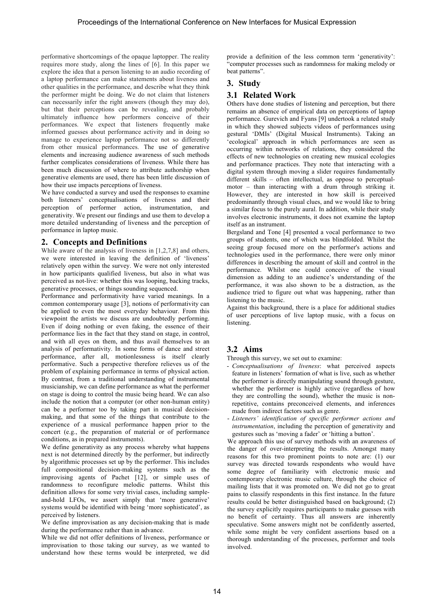performative shortcomings of the opaque laptopper. The reality requires more study, along the lines of [6]. In this paper we explore the idea that a person listening to an audio recording of a laptop performance can make statements about liveness and other qualities in the performance, and describe what they think the performer might be doing. We do not claim that listeners can necessarily infer the right answers (though they may do), but that their perceptions can be revealing, and probably ultimately influence how performers conceive of their performances. We expect that listeners frequently make informed guesses about performance activity and in doing so manage to experience laptop performance not so differently from other musical performances. The use of generative elements and increasing audience awareness of such methods further complicates considerations of liveness. While there has been much discussion of where to attribute authorship when generative elements are used, there has been little discussion of how their use impacts perceptions of liveness.

We have conducted a survey and used the responses to examine both listeners' conceptualisations of liveness and their perception of performer action, instrumentation, and generativity. We present our findings and use them to develop a more detailed understanding of liveness and the perception of performance in laptop music.

#### **2. Concepts and Definitions**

While aware of the analysis of liveness in [1,2,7,8] and others, we were interested in leaving the definition of 'liveness' relatively open within the survey. We were not only interested in how participants qualified liveness, but also in what was perceived as not-live: whether this was looping, backing tracks, generative processes, or things sounding sequenced.

Performance and performativity have varied meanings. In a common contemporary usage [3], notions of performativity can be applied to even the most everyday behaviour. From this viewpoint the artists we discuss are undoubtedly performing. Even if doing nothing or even faking, the essence of their performance lies in the fact that they stand on stage, in control, and with all eyes on them, and thus avail themselves to an analysis of performativity. In some forms of dance and street performance, after all, motionlessness is itself clearly performative. Such a perspective therefore relieves us of the problem of explaining performance in terms of physical action. By contrast, from a traditional understanding of instrumental musicianship, we can define performance as what the performer on stage is doing to control the music being heard. We can also include the notion that a computer (or other non-human entity) can be a performer too by taking part in musical decisionmaking, and that some of the things that contribute to the experience of a musical performance happen prior to the concert (e.g., the preparation of material or of performance conditions, as in prepared instruments).

We define generativity as any process whereby what happens next is not determined directly by the performer, but indirectly by algorithmic processes set up by the performer. This includes full compositional decision-making systems such as the improvising agents of Pachet [12], or simple uses of randomness to reconfigure melodic patterns. Whilst this definition allows for some very trivial cases, including sampleand-hold LFOs, we assert simply that 'more generative' systems would be identified with being 'more sophisticated', as perceived by listeners.

We define improvisation as any decision-making that is made during the performance rather than in advance.

While we did not offer definitions of liveness, performance or improvisation to those taking our survey, as we wanted to understand how these terms would be interpreted, we did provide a definition of the less common term 'generativity': "computer processes such as randomness for making melody or beat patterns".

### **3. Study**

### **3.1 Related Work**

Others have done studies of listening and perception, but there remains an absence of empirical data on perceptions of laptop performance. Gurevich and Fyans [9] undertook a related study in which they showed subjects videos of performances using gestural 'DMIs' (Digital Musical Instruments). Taking an 'ecological' approach in which performances are seen as occurring within networks of relations, they considered the effects of new technologies on creating new musical ecologies and performance practices. They note that interacting with a digital system through moving a slider requires fundamentally different skills – often intellectual, as oppose to perceptualmotor – than interacting with a drum through striking it. However, they are interested in how skill is perceived predominantly through visual clues, and we would like to bring a similar focus to the purely aural. In addition, while their study involves electronic instruments, it does not examine the laptop itself as an instrument.

Bergsland and Tone [4] presented a vocal performance to two groups of students, one of which was blindfolded. Whilst the seeing group focused more on the performer's actions and technologies used in the performance, there were only minor differences in describing the amount of skill and control in the performance. Whilst one could conceive of the visual dimension as adding to an audience's understanding of the performance, it was also shown to be a distraction, as the audience tried to figure out what was happening, rather than listening to the music.

Against this background, there is a place for additional studies of user perceptions of live laptop music, with a focus on listening.

# **3.2 Aims**

Through this survey, we set out to examine:

- *Conceptualisations of liveness*: what perceived aspects feature in listeners' formation of what is live, such as whether the performer is directly manipulating sound through gesture, whether the performer is highly active (regardless of how they are controlling the sound), whether the music is nonrepetitive, contains preconceived elements, and inferences made from indirect factors such as genre.
- *Listeners' identification of specific performer actions and instrumentation*, including the perception of generativity and gestures such as 'moving a fader' or 'hitting a button'.

We approach this use of survey methods with an awareness of the danger of over-interpreting the results. Amongst many reasons for this two prominent points to note are: (1) our survey was directed towards respondents who would have some degree of familiarity with electronic music and contemporary electronic music culture, through the choice of mailing lists that it was promoted on. We did not go to great pains to classify respondents in this first instance. In the future results could be better distinguished based on background; (2) the survey explicitly requires participants to make guesses with no benefit of certainty. Thus all answers are inherently speculative. Some answers might not be confidently asserted, while some might be very confident assertions based on a thorough understanding of the processes, performer and tools involved.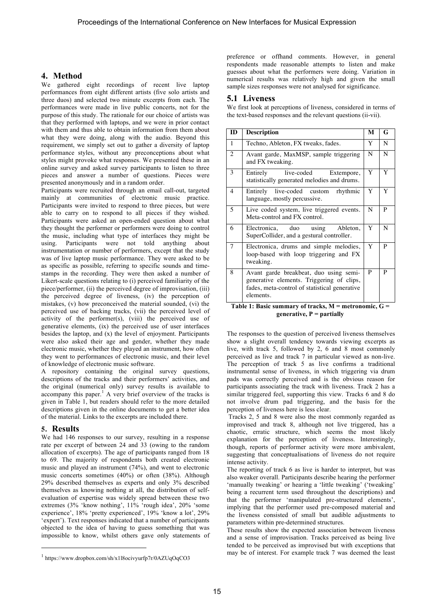## **4. Method**

We gathered eight recordings of recent live laptop performances from eight different artists (five solo artists and three duos) and selected two minute excerpts from each. The performances were made in live public concerts, not for the purpose of this study. The rationale for our choice of artists was that they performed with laptops, and we were in prior contact with them and thus able to obtain information from them about what they were doing, along with the audio. Beyond this requirement, we simply set out to gather a diversity of laptop performance styles, without any preconceptions about what styles might provoke what responses. We presented these in an online survey and asked survey participants to listen to three pieces and answer a number of questions. Pieces were presented anonymously and in a random order.

Participants were recruited through an email call-out, targeted mainly at communities of electronic music practice. Participants were invited to respond to three pieces, but were able to carry on to respond to all pieces if they wished. Participants were asked an open-ended question about what they thought the performer or performers were doing to control the music, including what type of interfaces they might be using. Participants were not told anything about instrumentation or number of performers, except that the study was of live laptop music performance. They were asked to be as specific as possible, referring to specific sounds and timestamps in the recording. They were then asked a number of Likert-scale questions relating to (i) perceived familiarity of the piece/performer, (ii) the perceived degree of improvisation, (iii) the perceived degree of liveness, (iv) the perception of mistakes, (v) how preconceived the material sounded, (vi) the perceived use of backing tracks, (vii) the perceived level of activity of the performer(s), (viii) the perceived use of generative elements, (ix) the perceived use of user interfaces besides the laptop, and (x) the level of enjoyment. Participants were also asked their age and gender, whether they made electronic music, whether they played an instrument, how often they went to performances of electronic music, and their level of knowledge of electronic music software.

A repository containing the original survey questions, descriptions of the tracks and their performers' activities, and the original (numerical only) survey results is available to accompany this paper.<sup>1</sup> A very brief overview of the tracks is given in Table 1, but readers should refer to the more detailed descriptions given in the online documents to get a better idea of the material. Links to the excerpts are included there.

### **5. Results**

j

We had 146 responses to our survey, resulting in a response rate per excerpt of between 24 and 33 (owing to the random allocation of excerpts). The age of participants ranged from 18 to 69. The majority of respondents both created electronic music and played an instrument (74%), and went to electronic music concerts sometimes (40%) or often (38%). Although 29% described themselves as experts and only 3% described themselves as knowing nothing at all, the distribution of selfevaluation of expertise was widely spread between these two extremes (3% 'know nothing', 11% 'rough idea', 20% 'some experience', 18% 'pretty experienced', 19% 'know a lot', 29% 'expert'). Text responses indicated that a number of participants objected to the idea of having to guess something that was impossible to know, whilst others gave only statements of preference or offhand comments. However, in general respondents made reasonable attempts to listen and make guesses about what the performers were doing. Variation in numerical results was relatively high and given the small sample sizes responses were not analysed for significance.

## **5.1 Liveness**

We first look at perceptions of liveness, considered in terms of the text-based responses and the relevant questions (ii-vii).

| <b>ID</b>      | <b>Description</b>                                                                                                                                | М | G |
|----------------|---------------------------------------------------------------------------------------------------------------------------------------------------|---|---|
| 1              | Techno, Ableton, FX tweaks, fades.                                                                                                                | Y | N |
| $\overline{c}$ | Avant garde, MaxMSP, sample triggering<br>and FX tweaking.                                                                                        | N | N |
| 3              | live-coded<br>Entirely<br>Extempore,<br>statistically generated melodies and drums.                                                               | Y | Y |
| $\overline{4}$ | Entirely live-coded custom<br>rhythmic<br>language, mostly percussive.                                                                            | Y | Y |
| 5              | Live coded system, live triggered events.<br>Meta-control and FX control.                                                                         | N | P |
| 6              | Electronica, duo<br>using<br>Ableton,<br>SuperCollider, and a gestural controller.                                                                | Y | N |
| 7              | Electronica, drums and simple melodies,<br>loop-based with loop triggering and FX<br>tweaking.                                                    | Y | P |
| 8              | Avant garde breakbeat, duo using semi-<br>generative elements. Triggering of clips,<br>fades, meta-control of statistical generative<br>elements. | P | P |

**Table 1: Basic summary of tracks, M = metronomic, G = generative, P = partially**

The responses to the question of perceived liveness themselves show a slight overall tendency towards viewing excerpts as live, with track 5, followed by 2, 6 and 8 most commonly perceived as live and track 7 in particular viewed as non-live. The perception of track 5 as live confirms a traditional instrumental sense of liveness, in which triggering via drum pads was correctly perceived and is the obvious reason for participants associating the track with liveness. Track 2 has a similar triggered feel, supporting this view. Tracks 6 and 8 do not involve drum pad triggering, and the basis for the perception of liveness here is less clear.

Tracks 2, 5 and 8 were also the most commonly regarded as improvised and track 8, although not live triggered, has a chaotic, erratic structure, which seems the most likely explanation for the perception of liveness. Interestingly, though, reports of performer activity were more ambivalent, suggesting that conceptualisations of liveness do not require intense activity.

The reporting of track 6 as live is harder to interpret, but was also weaker overall. Participants describe hearing the performer 'manually tweaking' or hearing a 'little tweaking' ('tweaking' being a recurrent term used throughout the descriptions) and that the performer 'manipulated pre-structured elements', implying that the performer used pre-composed material and the liveness consisted of small but audible adjustments to parameters within pre-determined structures.

These results show the expected association between liveness and a sense of improvisation. Tracks perceived as being live tended to be perceived as improvised but with exceptions that may be of interest. For example track 7 was deemed the least

<sup>1</sup> https://www.dropbox.com/sh/x1l8ocivyurfp7r/0AZUqOqCO3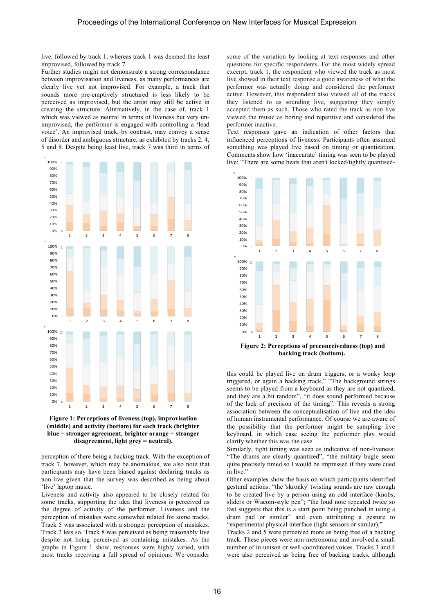live, followed by track 1, whereas track 1 was deemed the least improvised, followed by track 7.

Further studies might not demonstrate a strong correspondance between improvisation and liveness, as many performances are clearly live yet not improvised. For example, a track that sounds more pre-emptively structured is less likely to be perceived as improvised, but the artist may still be active in creating the structure. Alternatively, in the case of, track 1 which was viewed as neutral in terms of liveness but very unimprovised, the performer is engaged with controlling a 'lead voice'. An improvised track, by contrast, may convey a sense of disorder and ambiguous structure, as exhibited by tracks 2, 4, 5 and 8. Despite being least live, track 7 was third in terms of





perception of there being a backing track. With the exception of track 7, however, which may be anomalous, we also note that participants may have been biased against declaring tracks as non-live given that the survey was described as being about 'live' laptop music.

Liveness and activity also appeared to be closely related for some tracks, supporting the idea that liveness is perceived as the degree of activity of the performer. Liveness and the perception of mistakes were somewhat related for some tracks. Track 5 was associated with a stronger perception of mistakes. Track 2 less so. Track 8 was perceived as being reasonably live despite not being perceived as containing mistakes. As the graphs in Figure 1 show, responses were highly varied, with most tracks receiving a full spread of opinions. We consider some of the variation by looking at text responses and other questions for specific respondents. For the most widely spread excerpt, track 1, the respondent who viewed the track as most live showed in their text response a good awareness of what the performer was actually doing and considered the performer active. However, this respondent also viewed all of the tracks they listened to as sounding live, suggesting they simply accepted them as such. Those who rated the track as non-live viewed the music as boring and repetitive and considered the performer inactive.

Text responses gave an indication of other factors that influenced perceptions of liveness. Participants often assumed something was played live based on timing or quantization. Comments show how 'inaccurate' timing was seen to be played live: "There are some beats that aren't locked/tightly quantised-



this could be played live on drum triggers, or a wonky loop triggered, or again a backing track," "The background strings seems to be played from a keyboard as they are not quantized, and they are a bit random", "it does sound performed because of the lack of precision of the timing". This reveals a strong association between the conceptualisation of live and the idea of human instrumental performance. Of course we are aware of the possibility that the performer might be sampling live keyboard, in which case seeing the performer play would clarify whether this was the case.

Similarly, tight timing was seen as indicative of non-liveness: "The drums are clearly quantized", "the military bugle seem quite precisely timed so I would be impressed if they were cued in live."

Other examples show the basis on which participants identified gestural actions: "the 'skronky' twisting sounds are raw enough to be created live by a person using an odd interface (knobs, sliders or Wacom-style pen"; "the loud note repeated twice so fast suggests that this is a start point being punched in using a drum pad or similar" and even attributing a gesture to "experimental physical interface (light sensors or similar)."

Tracks 2 and 5 were perceived more as being free of a backing track. These pieces were non-metronomic and involved a small number of in-unison or well-coordinated voices. Tracks 3 and 4 were also perceived as being free of backing tracks, although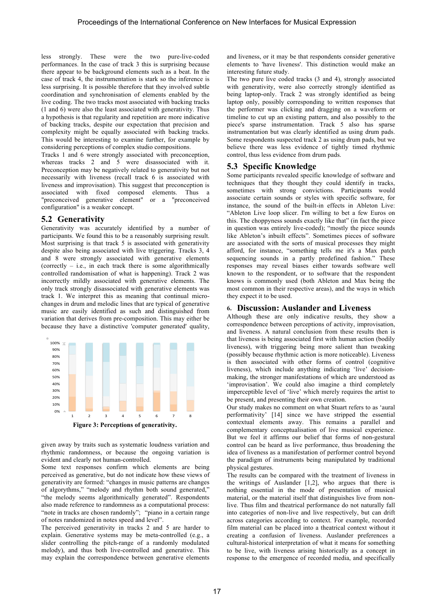less strongly. These were the two pure-live-coded performances. In the case of track 3 this is surprising because there appear to be background elements such as a beat. In the case of track 4, the instrumentation is stark so the inference is less surprising. It is possible therefore that they involved subtle coordination and synchronisation of elements enabled by the live coding. The two tracks most associated with backing tracks (1 and 6) were also the least associated with generativity. Thus a hypothesis is that regularity and repetition are more indicative of backing tracks, despite our expectation that precision and complexity might be equally associated with backing tracks. This would be interesting to examine further, for example by considering perceptions of complex studio compositions.

Tracks 1 and 6 were strongly associated with preconception, whereas tracks 2 and 5 were disassociated with it. Preconception may be negatively related to generativity but not necessarily with liveness (recall track 6 is associated with liveness and improvisation). This suggest that preconception is associated with fixed composed elements. Thus a "preconceived generative element" or a "preconceived configuration" is a weaker concept.

## **5.2 Generativity**

Generativity was accurately identified by a number of participants. We found this to be a reasonably surprising result. Most surprising is that track 5 is associated with generativity despite also being associated with live triggering. Tracks 3, 4 and 8 were strongly associated with generative elements (correctly – i.e., in each track there is some algorithmically controlled randomisation of what is happening). Track 2 was incorrectly mildly associated with generative elements. The only track strongly disassociated with generative elements was track 1. We interpret this as meaning that continual microchanges in drum and melodic lines that are typical of generative music are easily identified as such and distinguished from variation that derives from pre-composition. This may either be because they have a distinctive 'computer generated' quality,



given away by traits such as systematic loudness variation and rhythmic randomness, or because the ongoing variation is evident and clearly not human-controlled.

Some text responses confirm which elements are being perceived as generative, but do not indicate how these views of generativity are formed: "changes in music patterns are changes of algorythms," "melody and rhythm both sound generated," "the melody seems algorithmically generated". Respondents also made reference to randomness as a computational process: "note in tracks are chosen randomly"; "piano in a certain range of notes randomized in notes speed and level".

The perceived generativity in tracks 2 and 5 are harder to explain. Generative systems may be meta-controlled (e.g., a slider controlling the pitch-range of a randomly modulated melody), and thus both live-controlled and generative. This may explain the correspondence between generative elements

and liveness, or it may be that respondents consider generative elements to 'have liveness'. This distinction would make an interesting future study.

The two pure live coded tracks (3 and 4), strongly associated with generativity, were also correctly strongly identified as being laptop-only. Track 2 was strongly identified as being laptop only, possibly corresponding to written responses that the performer was clicking and dragging on a waveform or timeline to cut up an existing pattern, and also possibly to the piece's sparse instrumentation. Track 5 also has sparse instrumentation but was clearly identified as using drum pads. Some respondents suspected track 2 as using drum pads, but we believe there was less evidence of tightly timed rhythmic control, thus less evidence from drum pads.

# **5.3 Specific Knowledge**

Some participants revealed specific knowledge of software and techniques that they thought they could identify in tracks, sometimes with strong convictions. Participants would associate certain sounds or styles with specific software, for instance, the sound of the built-in effects in Ableton Live: "Ableton Live loop slicer. I'm willing to bet a few Euros on this. The choppyness sounds exactly like that" (in fact the piece in question was entirely live-coded); "mostly the piece sounds like Ableton's inbuilt effects". Sometimes pieces of software are associated with the sorts of musical processes they might afford, for instance, "something tells me it's a Max patch sequencing sounds in a partly predefined fashion." These responses may reveal biases either towards software well known to the respondent, or to software that the respondent knows is commonly used (both Ableton and Max being the most common in their respective areas), and the ways in which they expect it to be used.

#### **6. Discussion: Auslander and Liveness**

Although these are only indicative results, they show a correspondence between perceptions of activity, improvisation, and liveness. A natural conclusion from these results then is that liveness is being associated first with human action (bodily liveness), with triggering being more salient than tweaking (possibly because rhythmic action is more noticeable). Liveness is then associated with other forms of control (cognitive liveness), which include anything indicating 'live' decisionmaking, the stronger manifestations of which are understood as 'improvisation'. We could also imagine a third completely imperceptible level of 'live' which merely requires the artist to be present, and presenting their own creation.

Our study makes no comment on what Stuart refers to as 'aural performativity' [14] since we have stripped the essential contextual elements away. This remains a parallel and complementary conceptualisation of live musical experience. But we feel it affirms our belief that forms of non-gestural control can be heard as live performance, thus broadening the idea of liveness as a manifestation of performer control beyond the paradigm of instruments being manipulated by traditional physical gestures.

The results can be compared with the treatment of liveness in the writings of Auslander [1,2], who argues that there is nothing essential in the mode of presentation of musical material, or the material itself that distinguishes live from nonlive. Thus film and theatrical performance do not naturally fall into categories of non-live and live respectively, but can drift across categories according to context. For example, recorded film material can be placed into a theatrical context without it creating a confusion of liveness. Auslander preferences a cultural-historical interpretation of what it means for something to be live, with liveness arising historically as a concept in response to the emergence of recorded media, and specifically